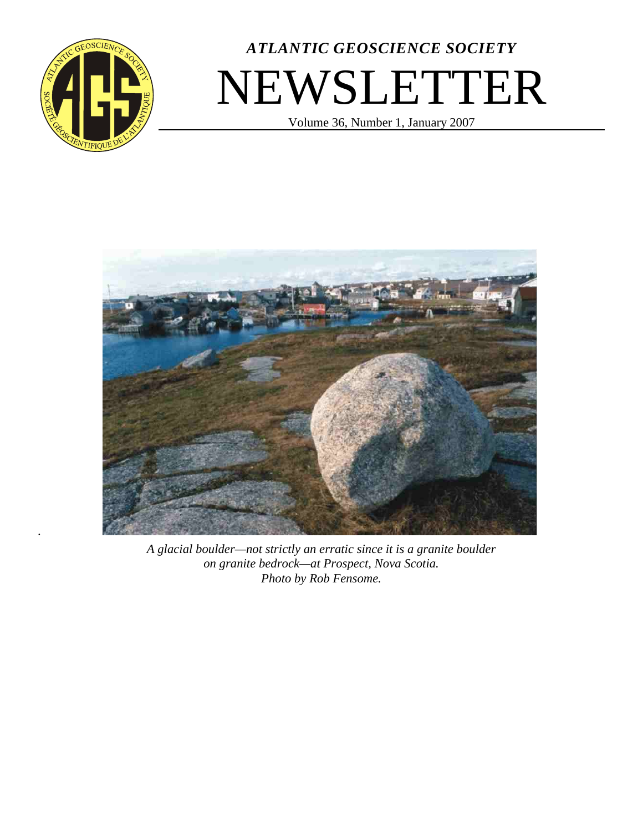

·

# *ATLANTIC GEOSCIENCE SOCIETY* NEWSLETTER

Volume 36, Number 1, January 2007



*A glacial boulder—not strictly an erratic since it is a granite boulder on granite bedrock—at Prospect, Nova Scotia. Photo by Rob Fensome.*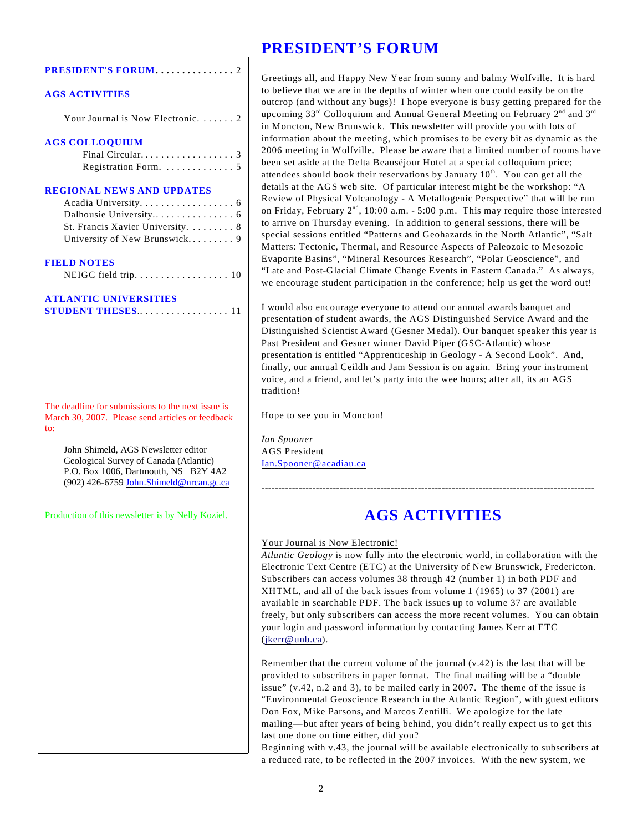| <b>PRESIDENT'S FORUM</b> 2 |  |
|----------------------------|--|

#### **AGS ACTIVITIES**

Your Journal is Now Electronic. . . . . . . 2

#### **AGS COLLOQUIUM**

#### **REGIONAL NEWS AND UPDATES**

| St. Francis Xavier University. 8 |
|----------------------------------|
|                                  |

#### **FIELD NOTES**

```
NEIGC field trip. . . . . . . . . . . . . . . . . . 10
```
#### **ATLANTIC UNIVERSITIES STUDENT THESES**..... .... .... .... . 11

The deadline for submissions to the next issue is March 30, 2007. Please send articles or feedback to:

John Shimeld, AGS Newsletter editor Geological Survey of Canada (Atlantic) P.O. Box 1006, Dartmouth, NS B2Y 4A2 (902) 426-6759 [John.Shimeld@nrcan.gc.ca](mailto:John.Shimeld@nrcan.gc.ca)

Production of this newsletter is by Nelly Koziel.

## **PRESIDENT'S FORUM**

Greetings all, and Happy New Year from sunny and balmy Wolfville. It is hard to believe that we are in the depths of winter when one could easily be on the outcrop (and without any bugs)! I hope everyone is busy getting prepared for the upcoming  $33<sup>rd</sup>$  Colloquium and Annual General Meeting on February  $2<sup>nd</sup>$  and  $3<sup>rd</sup>$ in Moncton, New Brunswick. This newsletter will provide you with lots of information about the meeting, which promises to be every bit as dynamic as the 2006 meeting in Wolfville. Please be aware that a limited number of rooms have been set aside at the Delta Beauséjour Hotel at a special colloquium price; attendees should book their reservations by January  $10<sup>th</sup>$ . You can get all the details at the AGS web site. Of particular interest might be the workshop: "A Review of Physical Volcanology - A Metallogenic Perspective" that will be run on Friday, February  $2<sup>nd</sup>$ , 10:00 a.m. - 5:00 p.m. This may require those interested to arrive on Thursday evening. In addition to general sessions, there will be special sessions entitled "Patterns and Geohazards in the North Atlantic", "Salt Matters: Tectonic, Thermal, and Resource Aspects of Paleozoic to Mesozoic Evaporite Basins", "Mineral Resources Research", "Polar Geoscience", and "Late and Post-Glacial Climate Change Events in Eastern Canada." As always, we encourage student participation in the conference; help us get the word out!

I would also encourage everyone to attend our annual awards banquet and presentation of student awards, the AGS Distinguished Service Award and the Distinguished Scientist Award (Gesner Medal). Our banquet speaker this year is Past President and Gesner winner David Piper (GSC-Atlantic) whose presentation is entitled "Apprenticeship in Geology - A Second Look". And, finally, our annual Ceildh and Jam Session is on again. Bring your instrument voice, and a friend, and let's party into the wee hours; after all, its an AGS tradition!

Hope to see you in Moncton!

*Ian Spooner* AGS President [Ian.Spooner@acadiau.ca](mailto:ian.spooner@acadiau.ca)

## **AGS ACTIVITIES**

--------------------------------------------------------------------------------------------------

#### Your Journal is Now Electronic!

*Atlantic Geology* is now fully into the electronic world, in collaboration with the Electronic Text Centre (ETC) at the University of New Brunswick, Fredericton. Subscribers can access volumes 38 through 42 (number 1) in both PDF and XHTML, and all of the back issues from volume 1 (1965) to 37 (2001) are available in searchable PDF. The back issues up to volume 37 are available freely, but only subscribers can access the more recent volumes. You can obtain your login and password information by contacting James Kerr at ETC ([jkerr@unb.ca](mailto:jkerr@unb.ca)).

Remember that the current volume of the journal (v.42) is the last that will be provided to subscribers in paper format. The final mailing will be a "double issue" (v.42, n.2 and 3), to be mailed early in 2007. The theme of the issue is "Environmental Geoscience Research in the Atlantic Region", with guest editors Don Fox, Mike Parsons, and Marcos Zentilli. We apologize for the late mailing—but after years of being behind, you didn't really expect us to get this last one done on time either, did you?

Beginning with v.43, the journal will be available electronically to subscribers at a reduced rate, to be reflected in the 2007 invoices. With the new system, we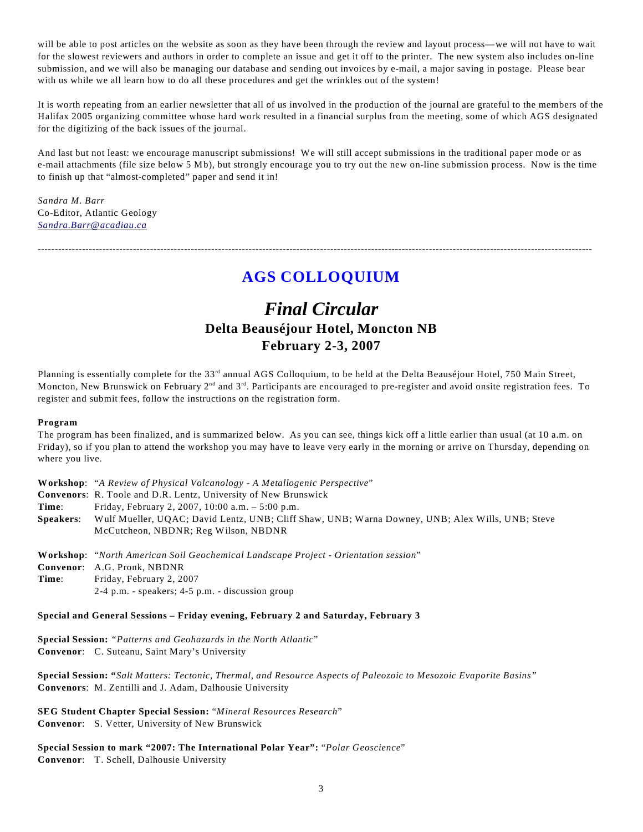will be able to post articles on the website as soon as they have been through the review and layout process—we will not have to wait for the slowest reviewers and authors in order to complete an issue and get it off to the printer. The new system also includes on-line submission, and we will also be managing our database and sending out invoices by e-mail, a major saving in postage. Please bear with us while we all learn how to do all these procedures and get the wrinkles out of the system!

It is worth repeating from an earlier newsletter that all of us involved in the production of the journal are grateful to the members of the Halifax 2005 organizing committee whose hard work resulted in a financial surplus from the meeting, some of which AGS designated for the digitizing of the back issues of the journal.

And last but not least: we encourage manuscript submissions! We will still accept submissions in the traditional paper mode or as e-mail attachments (file size below 5 Mb), but strongly encourage you to try out the new on-line submission process. Now is the time to finish up that "almost-completed" paper and send it in!

*Sandra M. Barr* Co-Editor, Atlantic Geology *[Sandra.Barr@acadiau.ca](mailto:Sandra.Barr@acadiau.ca)*

**AGS COLLOQUIUM**

-------------------------------------------------------------------------------------------------------------------------------------------------------------------

## *Final Circular* **Delta Beauséjour Hotel, Moncton NB February 2-3, 2007**

Planning is essentially complete for the  $33<sup>rd</sup>$  annual AGS Colloquium, to be held at the Delta Beauséjour Hotel, 750 Main Street, Moncton, New Brunswick on February  $2<sup>nd</sup>$  and  $3<sup>rd</sup>$ . Participants are encouraged to pre-register and avoid onsite registration fees. To register and submit fees, follow the instructions on the registration form.

#### **Program**

The program has been finalized, and is summarized below. As you can see, things kick off a little earlier than usual (at 10 a.m. on Friday), so if you plan to attend the workshop you may have to leave very early in the morning or arrive on Thursday, depending on where you live.

**Workshop**: "*A Review of Physical Volcanology - A Metallogenic Perspective*"

- **Convenors**: R. Toole and D.R. Lentz, University of New Brunswick
- **Time**: Friday, February 2, 2007, 10:00 a.m. 5:00 p.m.
- **Speakers**: Wulf Mueller, UQAC; David Lentz, UNB; Cliff Shaw, UNB; Warna Downey, UNB; Alex Wills, UNB; Steve McCutcheon, NBDNR; Reg Wilson, NBDNR

**Workshop**: "*North American Soil Geochemical Landscape Project - Orientation session*" **Convenor**: A.G. Pronk, NBDNR **Time:** Friday, February 2, 2007 2-4 p.m. - speakers; 4-5 p.m. - discussion group

**Special and General Sessions – Friday evening, February 2 and Saturday, February 3**

**Special Session:** *"Patterns and Geohazards in the North Atlantic*" **Convenor**: C. Suteanu, Saint Mary's University

**Special Session: "***Salt Matters: Tectonic, Thermal, and Resource Aspects of Paleozoic to Mesozoic Evaporite Basins"* **Convenors**: M. Zentilli and J. Adam, Dalhousie University

**SEG Student Chapter Special Session:** "*Mineral Resources Research*" **Convenor**: S. Vetter, University of New Brunswick

**Special Session to mark "2007: The International Polar Year":** "*Polar Geoscience*" **Convenor**: T. Schell, Dalhousie University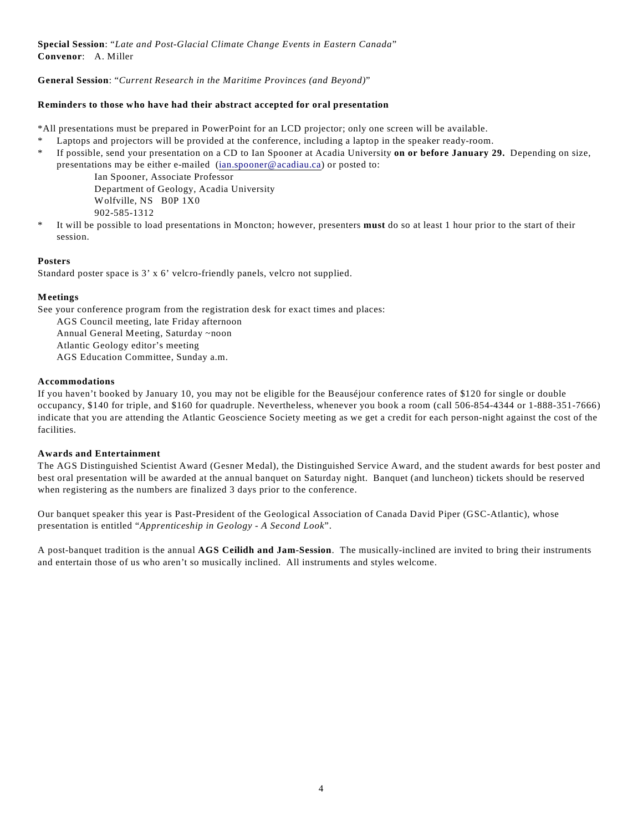**Special Session**: "*Late and Post-Glacial Climate Change Events in Eastern Canada*" **Convenor**: A. Miller

**General Session**: "*Current Research in the Maritime Provinces (and Beyond)*"

#### **Reminders to those who have had their abstract accepted for oral presentation**

\*All presentations must be prepared in PowerPoint for an LCD projector; only one screen will be available.

- Laptops and projectors will be provided at the conference, including a laptop in the speaker ready-room.
- \* If possible, send your presentation on a CD to Ian Spooner at Acadia University **on or before January 29.** Depending on size, presentations may be either e-mailed [\(ian.spooner@acadiau.ca](mailto:ian.spooner@acadiau.ca)) or posted to:

Ian Spooner, Associate Professor Department of Geology, Acadia University Wolfville, NS B0P 1X0 902-585-1312

It will be possible to load presentations in Moncton; however, presenters **must** do so at least 1 hour prior to the start of their session.

#### **Posters**

Standard poster space is 3' x 6' velcro-friendly panels, velcro not supplied.

#### **Meetings**

See your conference program from the registration desk for exact times and places:

AGS Council meeting, late Friday afternoon Annual General Meeting, Saturday ~noon Atlantic Geology editor's meeting AGS Education Committee, Sunday a.m.

#### **Accommodations**

If you haven't booked by January 10, you may not be eligible for the Beauséjour conference rates of \$120 for single or double occupancy, \$140 for triple, and \$160 for quadruple. Nevertheless, whenever you book a room (call 506-854-4344 or 1-888-351-7666) indicate that you are attending the Atlantic Geoscience Society meeting as we get a credit for each person-night against the cost of the facilities.

#### **Awards and Entertainment**

The AGS Distinguished Scientist Award (Gesner Medal), the Distinguished Service Award, and the student awards for best poster and best oral presentation will be awarded at the annual banquet on Saturday night. Banquet (and luncheon) tickets should be reserved when registering as the numbers are finalized 3 days prior to the conference.

Our banquet speaker this year is Past-President of the Geological Association of Canada David Piper (GSC-Atlantic), whose presentation is entitled "*Apprenticeship in Geology - A Second Look*".

A post-banquet tradition is the annual **AGS Ceilidh and Jam-Session**. The musically-inclined are invited to bring their instruments and entertain those of us who aren't so musically inclined. All instruments and styles welcome.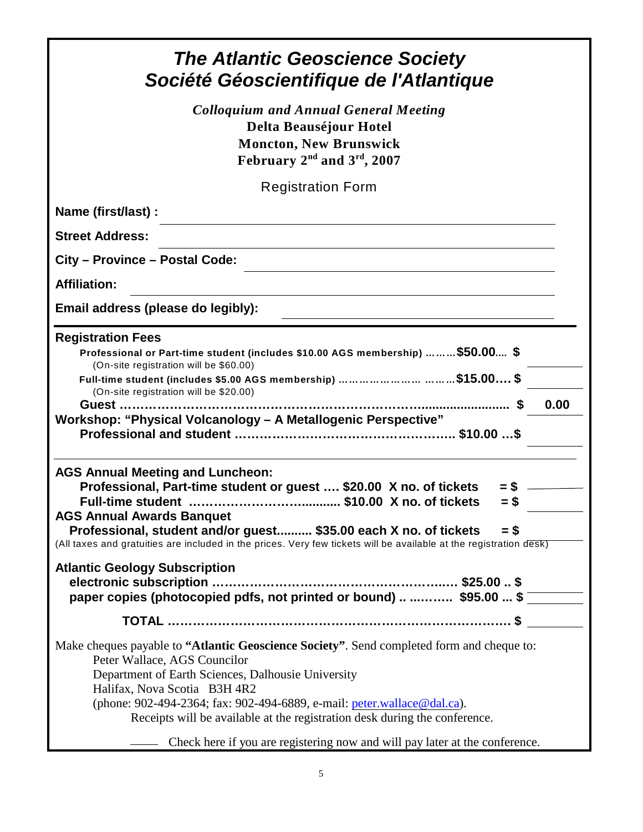| <b>The Atlantic Geoscience Society</b><br>Société Géoscientifique de l'Atlantique                                                                                                                                                                                                                                                                                                                                                                       |
|---------------------------------------------------------------------------------------------------------------------------------------------------------------------------------------------------------------------------------------------------------------------------------------------------------------------------------------------------------------------------------------------------------------------------------------------------------|
| <b>Colloquium and Annual General Meeting</b><br>Delta Beauséjour Hotel<br><b>Moncton, New Brunswick</b><br>February $2nd$ and $3rd$ , 2007                                                                                                                                                                                                                                                                                                              |
| <b>Registration Form</b>                                                                                                                                                                                                                                                                                                                                                                                                                                |
| Name (first/last) :                                                                                                                                                                                                                                                                                                                                                                                                                                     |
| <b>Street Address:</b>                                                                                                                                                                                                                                                                                                                                                                                                                                  |
| City - Province - Postal Code:                                                                                                                                                                                                                                                                                                                                                                                                                          |
| <b>Affiliation:</b>                                                                                                                                                                                                                                                                                                                                                                                                                                     |
| Email address (please do legibly):                                                                                                                                                                                                                                                                                                                                                                                                                      |
| <b>Registration Fees</b><br>Professional or Part-time student (includes \$10.00 AGS membership) ………\$50.00 \$<br>(On-site registration will be \$60.00)<br>Full-time student (includes \$5.00 AGS membership) \$15.00 \$<br>(On-site registration will be \$20.00)<br>0.00<br>\$<br>Workshop: "Physical Volcanology - A Metallogenic Perspective"                                                                                                       |
| <b>AGS Annual Meeting and Luncheon:</b><br>Professional, Part-time student or guest  \$20.00 X no. of tickets<br>= \$<br><b>AGS Annual Awards Banquet</b><br>Professional, student and/or guest \$35.00 each X no. of tickets<br>$=$ \$<br>(All taxes and gratuities are included in the prices. Very few tickets will be available at the registration desk)                                                                                           |
| <b>Atlantic Geology Subscription</b><br>paper copies (photocopied pdfs, not printed or bound)   \$95.00  \$                                                                                                                                                                                                                                                                                                                                             |
|                                                                                                                                                                                                                                                                                                                                                                                                                                                         |
| Make cheques payable to "Atlantic Geoscience Society". Send completed form and cheque to:<br>Peter Wallace, AGS Councilor<br>Department of Earth Sciences, Dalhousie University<br>Halifax, Nova Scotia B3H 4R2<br>(phone: 902-494-2364; fax: 902-494-6889, e-mail: peter.wallace@dal.ca).<br>Receipts will be available at the registration desk during the conference.<br>Check here if you are registering now and will pay later at the conference. |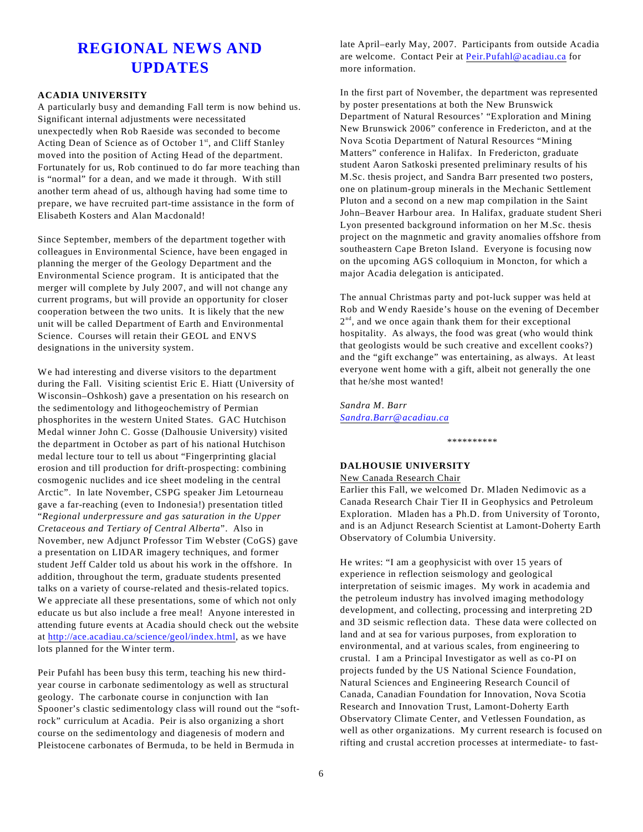## **REGIONAL NEWS AND UPDATES**

#### **ACADIA UNIVERSITY**

A particularly busy and demanding Fall term is now behind us. Significant internal adjustments were necessitated unexpectedly when Rob Raeside was seconded to become Acting Dean of Science as of October 1<sup>st</sup>, and Cliff Stanley moved into the position of Acting Head of the department. Fortunately for us, Rob continued to do far more teaching than is "normal" for a dean, and we made it through. With still another term ahead of us, although having had some time to prepare, we have recruited part-time assistance in the form of Elisabeth Kosters and Alan Macdonald!

Since September, members of the department together with colleagues in Environmental Science, have been engaged in planning the merger of the Geology Department and the Environmental Science program. It is anticipated that the merger will complete by July 2007, and will not change any current programs, but will provide an opportunity for closer cooperation between the two units. It is likely that the new unit will be called Department of Earth and Environmental Science. Courses will retain their GEOL and ENVS designations in the university system.

We had interesting and diverse visitors to the department during the Fall. Visiting scientist Eric E. Hiatt (University of Wisconsin–Oshkosh) gave a presentation on his research on the sedimentology and lithogeochemistry of Permian phosphorites in the western United States. GAC Hutchison Medal winner John C. Gosse (Dalhousie University) visited the department in October as part of his national Hutchison medal lecture tour to tell us about "Fingerprinting glacial erosion and till production for drift-prospecting: combining cosmogenic nuclides and ice sheet modeling in the central Arctic". In late November, CSPG speaker Jim Letourneau gave a far-reaching (even to Indonesia!) presentation titled "*Regional underpressure and gas saturation in the Upper Cretaceous and Tertiary of Central Alberta*". Also in November, new Adjunct Professor Tim Webster (CoGS) gave a presentation on LIDAR imagery techniques, and former student Jeff Calder told us about his work in the offshore. In addition, throughout the term, graduate students presented talks on a variety of course-related and thesis-related topics. We appreciate all these presentations, some of which not only educate us but also include a free meal! Anyone interested in attending future events at Acadia should check out the website at<http://ace.acadiau.ca/science/geol/index.html>, as we have lots planned for the Winter term.

Peir Pufahl has been busy this term, teaching his new thirdyear course in carbonate sedimentology as well as structural geology. The carbonate course in conjunction with Ian Spooner's clastic sedimentology class will round out the "softrock" curriculum at Acadia. Peir is also organizing a short course on the sedimentology and diagenesis of modern and Pleistocene carbonates of Bermuda, to be held in Bermuda in

late April–early May, 2007. Participants from outside Acadia are welcome. Contact Peir at [Peir.Pufahl@acadiau.ca](mailto:Peir.Pufahl@acadiau.ca) for more information.

In the first part of November, the department was represented by poster presentations at both the New Brunswick Department of Natural Resources' "Exploration and Mining New Brunswick 2006" conference in Fredericton, and at the Nova Scotia Department of Natural Resources "Mining Matters" conference in Halifax. In Fredericton, graduate student Aaron Satkoski presented preliminary results of his M.Sc. thesis project, and Sandra Barr presented two posters, one on platinum-group minerals in the Mechanic Settlement Pluton and a second on a new map compilation in the Saint John–Beaver Harbour area. In Halifax, graduate student Sheri Lyon presented background information on her M.Sc. thesis project on the magnmetic and gravity anomalies offshore from southeastern Cape Breton Island. Everyone is focusing now on the upcoming AGS colloquium in Moncton, for which a major Acadia delegation is anticipated.

The annual Christmas party and pot-luck supper was held at Rob and Wendy Raeside's house on the evening of December  $2<sup>nd</sup>$ , and we once again thank them for their exceptional hospitality. As always, the food was great (who would think that geologists would be such creative and excellent cooks?) and the "gift exchange" was entertaining, as always. At least everyone went home with a gift, albeit not generally the one that he/she most wanted!

*Sandra M. Barr [Sandra.Barr@acadiau.ca](mailto:Sandra.Barr@acadiau.ca)*

\*\*\*\*\*\*\*\*\*\*

#### **DALHOUSIE UNIVERSITY**

New Canada Research Chair

Earlier this Fall, we welcomed Dr. Mladen Nedimovic as a Canada Research Chair Tier II in Geophysics and Petroleum Exploration. Mladen has a Ph.D. from University of Toronto, and is an Adjunct Research Scientist at Lamont-Doherty Earth Observatory of Columbia University.

He writes: "I am a geophysicist with over 15 years of experience in reflection seismology and geological interpretation of seismic images. My work in academia and the petroleum industry has involved imaging methodology development, and collecting, processing and interpreting 2D and 3D seismic reflection data. These data were collected on land and at sea for various purposes, from exploration to environmental, and at various scales, from engineering to crustal. I am a Principal Investigator as well as co-PI on projects funded by the US National Science Foundation, Natural Sciences and Engineering Research Council of Canada, Canadian Foundation for Innovation, Nova Scotia Research and Innovation Trust, Lamont-Doherty Earth Observatory Climate Center, and Vetlessen Foundation, as well as other organizations. My current research is focused on rifting and crustal accretion processes at intermediate- to fast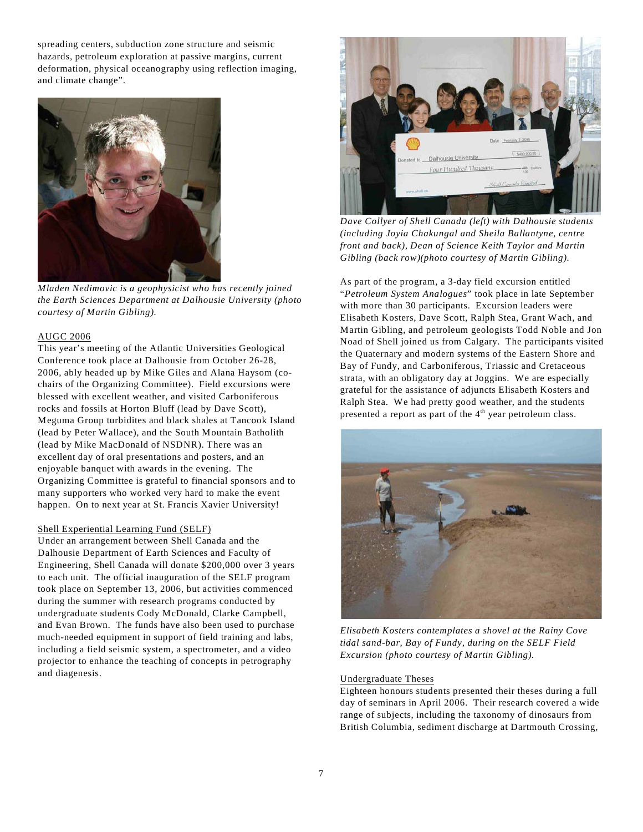spreading centers, subduction zone structure and seismic hazards, petroleum exploration at passive margins, current deformation, physical oceanography using reflection imaging, and climate change".



*Mladen Nedimovic is a geophysicist who has recently joined the Earth Sciences Department at Dalhousie University (photo courtesy of Martin Gibling).*

#### AUGC 2006

This year's meeting of the Atlantic Universities Geological Conference took place at Dalhousie from October 26-28, 2006, ably headed up by Mike Giles and Alana Haysom (cochairs of the Organizing Committee). Field excursions were blessed with excellent weather, and visited Carboniferous rocks and fossils at Horton Bluff (lead by Dave Scott), Meguma Group turbidites and black shales at Tancook Island (lead by Peter Wallace), and the South Mountain Batholith (lead by Mike MacDonald of NSDNR). There was an excellent day of oral presentations and posters, and an enjoyable banquet with awards in the evening. The Organizing Committee is grateful to financial sponsors and to many supporters who worked very hard to make the event happen. On to next year at St. Francis Xavier University!

#### Shell Experiential Learning Fund (SELF)

Under an arrangement between Shell Canada and the Dalhousie Department of Earth Sciences and Faculty of Engineering, Shell Canada will donate \$200,000 over 3 years to each unit. The official inauguration of the SELF program took place on September 13, 2006, but activities commenced during the summer with research programs conducted by undergraduate students Cody McDonald, Clarke Campbell, and Evan Brown. The funds have also been used to purchase much-needed equipment in support of field training and labs, including a field seismic system, a spectrometer, and a video projector to enhance the teaching of concepts in petrography and diagenesis.



*Dave Collyer of Shell Canada (left) with Dalhousie students (including Joyia Chakungal and Sheila Ballantyne, centre front and back), Dean of Science Keith Taylor and Martin Gibling (back row)(photo courtesy of Martin Gibling).*

As part of the program, a 3-day field excursion entitled "*Petroleum System Analogues*" took place in late September with more than 30 participants. Excursion leaders were Elisabeth Kosters, Dave Scott, Ralph Stea, Grant Wach, and Martin Gibling, and petroleum geologists Todd Noble and Jon Noad of Shell joined us from Calgary. The participants visited the Quaternary and modern systems of the Eastern Shore and Bay of Fundy, and Carboniferous, Triassic and Cretaceous strata, with an obligatory day at Joggins. We are especially grateful for the assistance of adjuncts Elisabeth Kosters and Ralph Stea. We had pretty good weather, and the students presented a report as part of the  $4<sup>th</sup>$  year petroleum class.



*Elisabeth Kosters contemplates a shovel at the Rainy Cove tidal sand-bar, Bay of Fundy, during on the SELF Field Excursion (photo courtesy of Martin Gibling).*

#### Undergraduate Theses

Eighteen honours students presented their theses during a full day of seminars in April 2006. Their research covered a wide range of subjects, including the taxonomy of dinosaurs from British Columbia, sediment discharge at Dartmouth Crossing,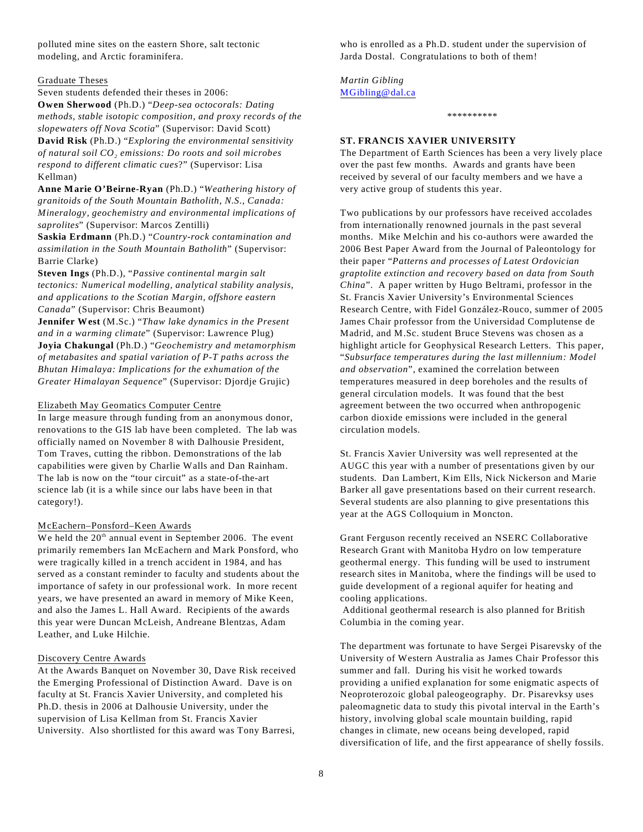polluted mine sites on the eastern Shore, salt tectonic modeling, and Arctic foraminifera.

#### Graduate Theses

Seven students defended their theses in 2006:

**Owen Sherwood** (Ph.D.) "*Deep-sea octocorals: Dating methods, stable isotopic composition, and proxy records of the slopewaters off Nova Scotia*" (Supervisor: David Scott) **David Risk** (Ph.D.) "*Exploring the environmental sensitivity of <sup>2</sup> natural soil CO emissions: Do roots and soil microbes respond to different climatic cues*?" (Supervisor: Lisa Kellman)

**Anne Marie O'Beirne-Ryan** (Ph.D.) "*Weathering history of granitoids of the South Mountain Batholith, N.S., Canada: Mineralogy, geochemistry and environmental implications of saprolites*" (Supervisor: Marcos Zentilli)

**Saskia Erdmann** (Ph.D.) "*Country-rock contamination and assimilation in the South Mountain Batholith*" (Supervisor: Barrie Clarke)

**Steven Ings** (Ph.D.), "*Passive continental margin salt tectonics: Numerical modelling, analytical stability analysis, and applications to the Scotian Margin, offshore eastern Canada*" (Supervisor: Chris Beaumont)

**Jennifer West** (M.Sc.) "*Thaw lake dynamics in the Present and in a warming climate*" (Supervisor: Lawrence Plug) **Joyia Chakungal** (Ph.D.) "*Geochemistry and metamorphism of metabasites and spatial variation of P-T paths across the Bhutan Himalaya: Implications for the exhumation of the Greater Himalayan Sequence*" (Supervisor: Djordje Grujic)

#### Elizabeth May Geomatics Computer Centre

In large measure through funding from an anonymous donor, renovations to the GIS lab have been completed. The lab was officially named on November 8 with Dalhousie President, Tom Traves, cutting the ribbon. Demonstrations of the lab capabilities were given by Charlie Walls and Dan Rainham. The lab is now on the "tour circuit" as a state-of-the-art science lab (it is a while since our labs have been in that category!).

#### McEachern–Ponsford–Keen Awards

We held the  $20<sup>th</sup>$  annual event in September 2006. The event primarily remembers Ian McEachern and Mark Ponsford, who were tragically killed in a trench accident in 1984, and has served as a constant reminder to faculty and students about the importance of safety in our professional work. In more recent years, we have presented an award in memory of Mike Keen, and also the James L. Hall Award. Recipients of the awards this year were Duncan McLeish, Andreane Blentzas, Adam Leather, and Luke Hilchie.

#### Discovery Centre Awards

At the Awards Banquet on November 30, Dave Risk received the Emerging Professional of Distinction Award. Dave is on faculty at St. Francis Xavier University, and completed his Ph.D. thesis in 2006 at Dalhousie University, under the supervision of Lisa Kellman from St. Francis Xavier University. Also shortlisted for this award was Tony Barresi,

who is enrolled as a Ph.D. student under the supervision of Jarda Dostal. Congratulations to both of them!

*Martin Gibling* [MGibling@dal.ca](mailto:MGibling@dal.ca)

\*\*\*\*\*\*\*\*\*\*

#### **ST. FRANCIS XAVIER UNIVERSITY**

The Department of Earth Sciences has been a very lively place over the past few months. Awards and grants have been received by several of our faculty members and we have a very active group of students this year.

Two publications by our professors have received accolades from internationally renowned journals in the past several months. Mike Melchin and his co-authors were awarded the 2006 Best Paper Award from the Journal of Paleontology for their paper "*Patterns and processes of Latest Ordovician graptolite extinction and recovery based on data from South China*". A paper written by Hugo Beltrami, professor in the St. Francis Xavier University's Environmental Sciences Research Centre, with Fidel González-Rouco, summer of 2005 James Chair professor from the Universidad Complutense de Madrid, and M.Sc. student Bruce Stevens was chosen as a highlight article for Geophysical Research Letters. This paper, "*Subsurface temperatures during the last millennium: Model and observation*", examined the correlation between temperatures measured in deep boreholes and the results of general circulation models. It was found that the best agreement between the two occurred when anthropogenic carbon dioxide emissions were included in the general circulation models.

St. Francis Xavier University was well represented at the AUGC this year with a number of presentations given by our students. Dan Lambert, Kim Ells, Nick Nickerson and Marie Barker all gave presentations based on their current research. Several students are also planning to give presentations this year at the AGS Colloquium in Moncton.

Grant Ferguson recently received an NSERC Collaborative Research Grant with Manitoba Hydro on low temperature geothermal energy. This funding will be used to instrument research sites in Manitoba, where the findings will be used to guide development of a regional aquifer for heating and cooling applications.

 Additional geothermal research is also planned for British Columbia in the coming year.

The department was fortunate to have Sergei Pisarevsky of the University of Western Australia as James Chair Professor this summer and fall. During his visit he worked towards providing a unified explanation for some enigmatic aspects of Neoproterozoic global paleogeography. Dr. Pisarevksy uses paleomagnetic data to study this pivotal interval in the Earth's history, involving global scale mountain building, rapid changes in climate, new oceans being developed, rapid diversification of life, and the first appearance of shelly fossils.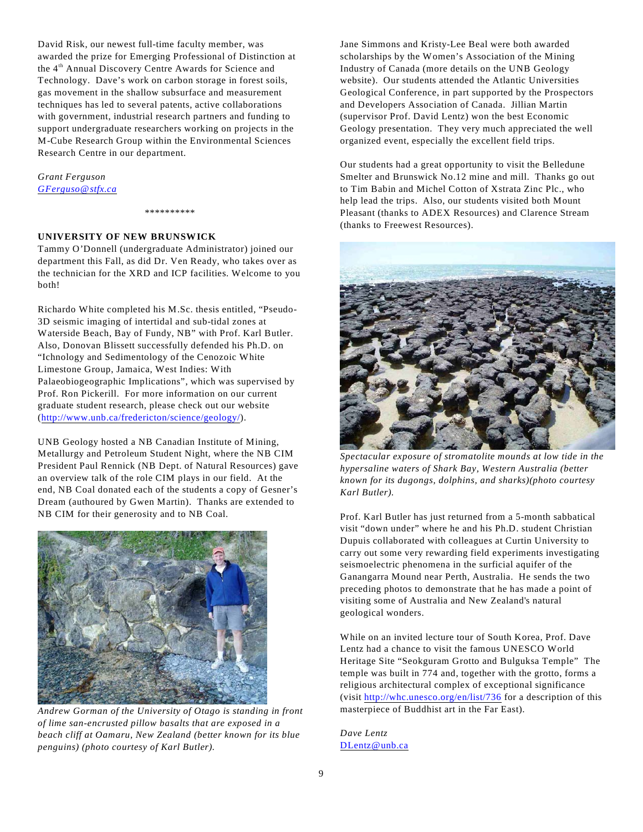David Risk, our newest full-time faculty member, was awarded the prize for Emerging Professional of Distinction at the 4<sup>th</sup> Annual Discovery Centre Awards for Science and Technology. Dave's work on carbon storage in forest soils, gas movement in the shallow subsurface and measurement techniques has led to several patents, active collaborations with government, industrial research partners and funding to support undergraduate researchers working on projects in the M-Cube Research Group within the Environmental Sciences Research Centre in our department.

#### *Grant Ferguson*

*[GFerguso@stfx.ca](mailto:GFerguso@stfx.ca)*

#### \*\*\*\*\*\*\*\*\*\*

### **UNIVERSITY OF NEW BRUNSWICK**

Tammy O'Donnell (undergraduate Administrator) joined our department this Fall, as did Dr. Ven Ready, who takes over as the technician for the XRD and ICP facilities. Welcome to you both!

Richardo White completed his M.Sc. thesis entitled, "Pseudo-3D seismic imaging of intertidal and sub-tidal zones at Waterside Beach, Bay of Fundy, NB" with Prof. Karl Butler. Also, Donovan Blissett successfully defended his Ph.D. on "Ichnology and Sedimentology of the Cenozoic White Limestone Group, Jamaica, West Indies: With Palaeobiogeographic Implications", which was supervised by Prof. Ron Pickerill. For more information on our current graduate student research, please check out our website (<http://www.unb.ca/fredericton/science/geology/>).

UNB Geology hosted a NB Canadian Institute of Mining, Metallurgy and Petroleum Student Night, where the NB CIM President Paul Rennick (NB Dept. of Natural Resources) gave an overview talk of the role CIM plays in our field. At the end, NB Coal donated each of the students a copy of Gesner's Dream (authoured by Gwen Martin). Thanks are extended to NB CIM for their generosity and to NB Coal.



*Andrew Gorman of the University of Otago is standing in front of lime san-encrusted pillow basalts that are exposed in a beach cliff at Oamaru, New Zealand (better known for its blue penguins) (photo courtesy of Karl Butler).*

Jane Simmons and Kristy-Lee Beal were both awarded scholarships by the Women's Association of the Mining Industry of Canada (more details on the UNB Geology website). Our students attended the Atlantic Universities Geological Conference, in part supported by the Prospectors and Developers Association of Canada. Jillian Martin (supervisor Prof. David Lentz) won the best Economic Geology presentation. They very much appreciated the well organized event, especially the excellent field trips.

Our students had a great opportunity to visit the Belledune Smelter and Brunswick No.12 mine and mill. Thanks go out to Tim Babin and Michel Cotton of Xstrata Zinc Plc., who help lead the trips. Also, our students visited both Mount Pleasant (thanks to ADEX Resources) and Clarence Stream (thanks to Freewest Resources).



*Spectacular exposure of stromatolite mounds at low tide in the hypersaline waters of Shark Bay, Western Australia (better known for its dugongs, dolphins, and sharks)(photo courtesy Karl Butler).*

Prof. Karl Butler has just returned from a 5-month sabbatical visit "down under" where he and his Ph.D. student Christian Dupuis collaborated with colleagues at Curtin University to carry out some very rewarding field experiments investigating seismoelectric phenomena in the surficial aquifer of the Ganangarra Mound near Perth, Australia. He sends the two preceding photos to demonstrate that he has made a point of visiting some of Australia and New Zealand's natural geological wonders.

While on an invited lecture tour of South Korea, Prof. Dave Lentz had a chance to visit the famous UNESCO World Heritage Site "Seokguram Grotto and Bulguksa Temple" The temple was built in 774 and, together with the grotto, forms a religious architectural complex of exceptional significance (visit [http://whc.unesco.org/en/list/736](http://whc.unesco.org/en/list/737) for a description of this masterpiece of Buddhist art in the Far East).

*Dave Lentz* [DLentz@unb.ca](mailto:DLentz@unb.ca)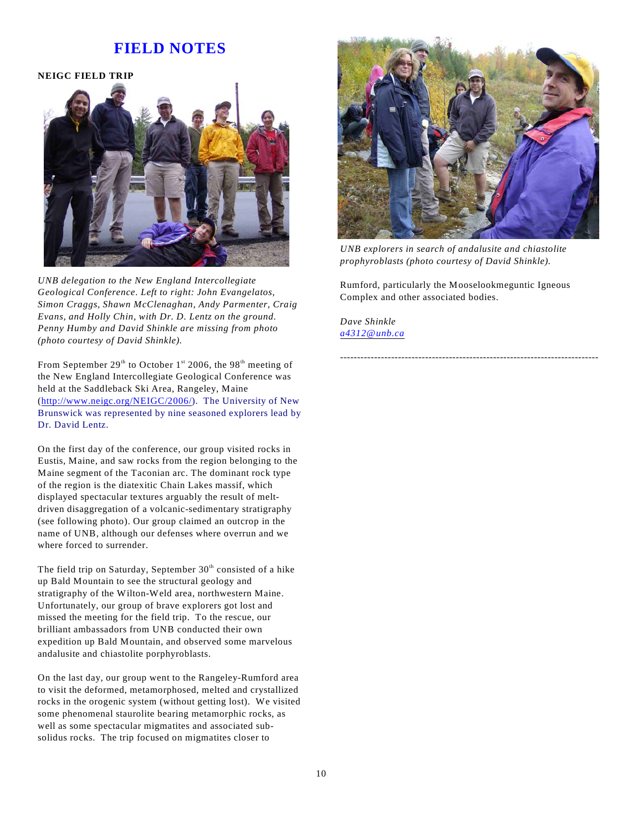## **FIELD NOTES**

**NEIGC FIELD TRIP**



*UNB delegation to the New England Intercollegiate Geological Conference. Left to right: John Evangelatos, Simon Craggs, Shawn McClenaghan, Andy Parmenter, Craig Evans, and Holly Chin, with Dr. D. Lentz on the ground. Penny Humby and David Shinkle are missing from photo (photo courtesy of David Shinkle).*

From September  $29<sup>th</sup>$  to October 1<sup>st</sup> 2006, the 98<sup>th</sup> meeting of the New England Intercollegiate Geological Conference was held at the Saddleback Ski Area, Rangeley, Maine (<http://www.neigc.org/NEIGC/2006/>). The University of New Brunswick was represented by nine seasoned explorers lead by Dr. David Lentz.

On the first day of the conference, our group visited rocks in Eustis, Maine, and saw rocks from the region belonging to the Maine segment of the Taconian arc. The dominant rock type of the region is the diatexitic Chain Lakes massif, which displayed spectacular textures arguably the result of meltdriven disaggregation of a volcanic-sedimentary stratigraphy (see following photo). Our group claimed an outcrop in the name of UNB, although our defenses where overrun and we where forced to surrender.

The field trip on Saturday, September  $30<sup>th</sup>$  consisted of a hike up Bald Mountain to see the structural geology and stratigraphy of the Wilton-Weld area, northwestern Maine. Unfortunately, our group of brave explorers got lost and missed the meeting for the field trip. To the rescue, our brilliant ambassadors from UNB conducted their own expedition up Bald Mountain, and observed some marvelous andalusite and chiastolite porphyroblasts.

On the last day, our group went to the Rangeley-Rumford area to visit the deformed, metamorphosed, melted and crystallized rocks in the orogenic system (without getting lost). We visited some phenomenal staurolite bearing metamorphic rocks, as well as some spectacular migmatites and associated subsolidus rocks. The trip focused on migmatites closer to



*UNB explorers in search of andalusite and chiastolite prophyroblasts (photo courtesy of David Shinkle).*

Rumford, particularly the Mooselookmeguntic Igneous Complex and other associated bodies.

----------------------------------------------------------------------------

*Dave Shinkle [a4312@unb.ca](mailto:a4312@unb.ca)*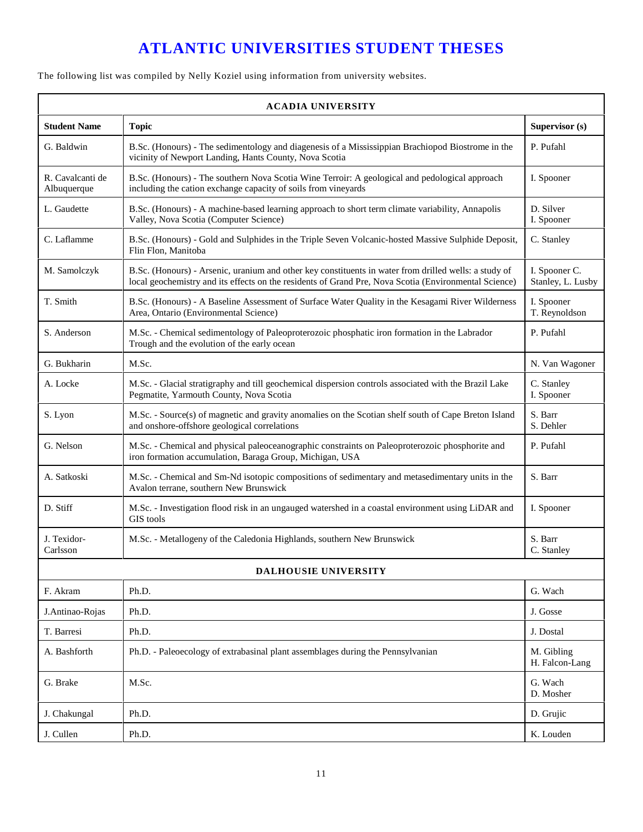# **ATLANTIC UNIVERSITIES STUDENT THESES**

The following list was compiled by Nelly Koziel using information from university websites.

| <b>ACADIA UNIVERSITY</b>        |                                                                                                                                                                                                                |                                    |  |  |  |
|---------------------------------|----------------------------------------------------------------------------------------------------------------------------------------------------------------------------------------------------------------|------------------------------------|--|--|--|
| <b>Student Name</b>             | <b>Topic</b>                                                                                                                                                                                                   | Supervisor (s)                     |  |  |  |
| G. Baldwin                      | B.Sc. (Honours) - The sedimentology and diagenesis of a Mississippian Brachiopod Biostrome in the<br>vicinity of Newport Landing, Hants County, Nova Scotia                                                    | P. Pufahl                          |  |  |  |
| R. Cavalcanti de<br>Albuquerque | B.Sc. (Honours) - The southern Nova Scotia Wine Terroir: A geological and pedological approach<br>including the cation exchange capacity of soils from vineyards                                               | I. Spooner                         |  |  |  |
| L. Gaudette                     | B.Sc. (Honours) - A machine-based learning approach to short term climate variability, Annapolis<br>Valley, Nova Scotia (Computer Science)                                                                     | D. Silver<br>I. Spooner            |  |  |  |
| C. Laflamme                     | B.Sc. (Honours) - Gold and Sulphides in the Triple Seven Volcanic-hosted Massive Sulphide Deposit,<br>Flin Flon, Manitoba                                                                                      | C. Stanley                         |  |  |  |
| M. Samolczyk                    | B.Sc. (Honours) - Arsenic, uranium and other key constituents in water from drilled wells: a study of<br>local geochemistry and its effects on the residents of Grand Pre, Nova Scotia (Environmental Science) | I. Spooner C.<br>Stanley, L. Lusby |  |  |  |
| T. Smith                        | B.Sc. (Honours) - A Baseline Assessment of Surface Water Quality in the Kesagami River Wilderness<br>Area, Ontario (Environmental Science)                                                                     | I. Spooner<br>T. Reynoldson        |  |  |  |
| S. Anderson                     | M.Sc. - Chemical sedimentology of Paleoproterozoic phosphatic iron formation in the Labrador<br>Trough and the evolution of the early ocean                                                                    | P. Pufahl                          |  |  |  |
| G. Bukharin                     | M.Sc.                                                                                                                                                                                                          | N. Van Wagoner                     |  |  |  |
| A. Locke                        | M.Sc. - Glacial stratigraphy and till geochemical dispersion controls associated with the Brazil Lake<br>Pegmatite, Yarmouth County, Nova Scotia                                                               | C. Stanley<br>I. Spooner           |  |  |  |
| S. Lyon                         | M.Sc. - Source(s) of magnetic and gravity anomalies on the Scotian shelf south of Cape Breton Island<br>and onshore-offshore geological correlations                                                           | S. Barr<br>S. Dehler               |  |  |  |
| G. Nelson                       | M.Sc. - Chemical and physical paleoceanographic constraints on Paleoproterozoic phosphorite and<br>iron formation accumulation, Baraga Group, Michigan, USA                                                    | P. Pufahl                          |  |  |  |
| A. Satkoski                     | M.Sc. - Chemical and Sm-Nd isotopic compositions of sedimentary and metasedimentary units in the<br>Avalon terrane, southern New Brunswick                                                                     | S. Barr                            |  |  |  |
| D. Stiff                        | M.Sc. - Investigation flood risk in an ungauged watershed in a coastal environment using LiDAR and<br>GIS tools                                                                                                | I. Spooner                         |  |  |  |
| J. Texidor-<br>Carlsson         | M.Sc. - Metallogeny of the Caledonia Highlands, southern New Brunswick                                                                                                                                         | S. Barr<br>C. Stanley              |  |  |  |
|                                 | DALHOUSIE UNIVERSITY                                                                                                                                                                                           |                                    |  |  |  |
| F. Akram                        | Ph.D.                                                                                                                                                                                                          | G. Wach                            |  |  |  |
| J.Antinao-Rojas                 | Ph.D.                                                                                                                                                                                                          | J. Gosse                           |  |  |  |
| T. Barresi                      | Ph.D.                                                                                                                                                                                                          | J. Dostal                          |  |  |  |
| A. Bashforth                    | Ph.D. - Paleoecology of extrabasinal plant assemblages during the Pennsylvanian                                                                                                                                | M. Gibling<br>H. Falcon-Lang       |  |  |  |
| G. Brake                        | M.Sc.                                                                                                                                                                                                          | G. Wach<br>D. Mosher               |  |  |  |
| J. Chakungal                    | Ph.D.                                                                                                                                                                                                          | D. Grujic                          |  |  |  |
| J. Cullen                       | Ph.D.                                                                                                                                                                                                          | K. Louden                          |  |  |  |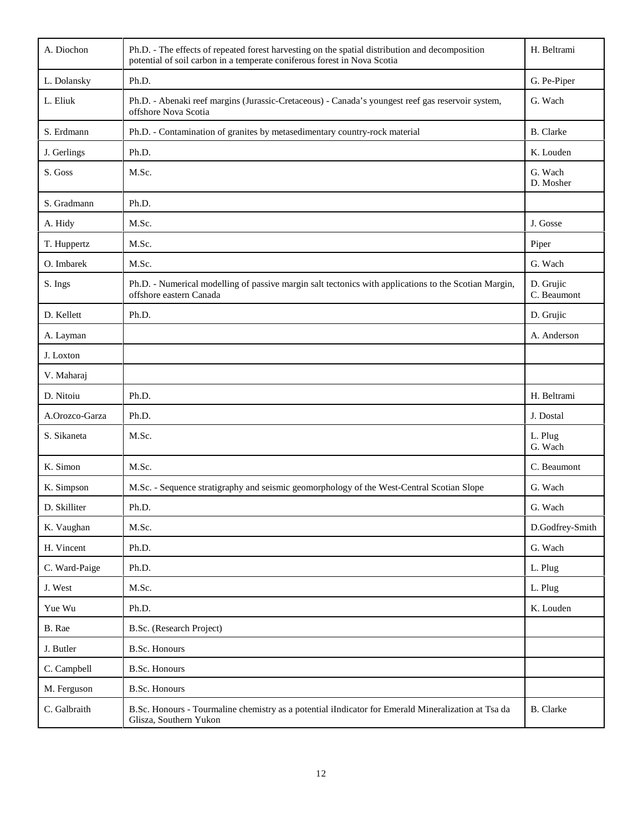| A. Diochon     | Ph.D. - The effects of repeated forest harvesting on the spatial distribution and decomposition<br>potential of soil carbon in a temperate coniferous forest in Nova Scotia | H. Beltrami              |
|----------------|-----------------------------------------------------------------------------------------------------------------------------------------------------------------------------|--------------------------|
| L. Dolansky    | Ph.D.                                                                                                                                                                       | G. Pe-Piper              |
| L. Eliuk       | Ph.D. - Abenaki reef margins (Jurassic-Cretaceous) - Canada's youngest reef gas reservoir system,<br>offshore Nova Scotia                                                   | G. Wach                  |
| S. Erdmann     | Ph.D. - Contamination of granites by metasedimentary country-rock material                                                                                                  | <b>B.</b> Clarke         |
| J. Gerlings    | Ph.D.                                                                                                                                                                       | K. Louden                |
| S. Goss        | M.Sc.                                                                                                                                                                       | G. Wach<br>D. Mosher     |
| S. Gradmann    | Ph.D.                                                                                                                                                                       |                          |
| A. Hidy        | M.Sc.                                                                                                                                                                       | J. Gosse                 |
| T. Huppertz    | M.Sc.                                                                                                                                                                       | Piper                    |
| O. Imbarek     | M.Sc.                                                                                                                                                                       | G. Wach                  |
| S. Ings        | Ph.D. - Numerical modelling of passive margin salt tectonics with applications to the Scotian Margin,<br>offshore eastern Canada                                            | D. Grujic<br>C. Beaumont |
| D. Kellett     | Ph.D.                                                                                                                                                                       | D. Grujic                |
| A. Layman      |                                                                                                                                                                             | A. Anderson              |
| J. Loxton      |                                                                                                                                                                             |                          |
| V. Maharaj     |                                                                                                                                                                             |                          |
| D. Nitoiu      | Ph.D.                                                                                                                                                                       | H. Beltrami              |
| A.Orozco-Garza | Ph.D.                                                                                                                                                                       | J. Dostal                |
| S. Sikaneta    | M.Sc.                                                                                                                                                                       | L. Plug<br>G. Wach       |
| K. Simon       | M.Sc.                                                                                                                                                                       | C. Beaumont              |
| K. Simpson     | M.Sc. - Sequence stratigraphy and seismic geomorphology of the West-Central Scotian Slope                                                                                   | G. Wach                  |
| D. Skilliter   | Ph.D.                                                                                                                                                                       | G. Wach                  |
| K. Vaughan     | M.Sc.                                                                                                                                                                       | D.Godfrey-Smith          |
| H. Vincent     | Ph.D.                                                                                                                                                                       | G. Wach                  |
| C. Ward-Paige  | Ph.D.                                                                                                                                                                       | L. Plug                  |
| J. West        | M.Sc.                                                                                                                                                                       | L. Plug                  |
| Yue Wu         | Ph.D.                                                                                                                                                                       | K. Louden                |
| B. Rae         | B.Sc. (Research Project)                                                                                                                                                    |                          |
| J. Butler      | <b>B.Sc. Honours</b>                                                                                                                                                        |                          |
| C. Campbell    | <b>B.Sc. Honours</b>                                                                                                                                                        |                          |
| M. Ferguson    | <b>B.Sc. Honours</b>                                                                                                                                                        |                          |
| C. Galbraith   | B.Sc. Honours - Tourmaline chemistry as a potential iIndicator for Emerald Mineralization at Tsa da<br>Glisza, Southern Yukon                                               | <b>B.</b> Clarke         |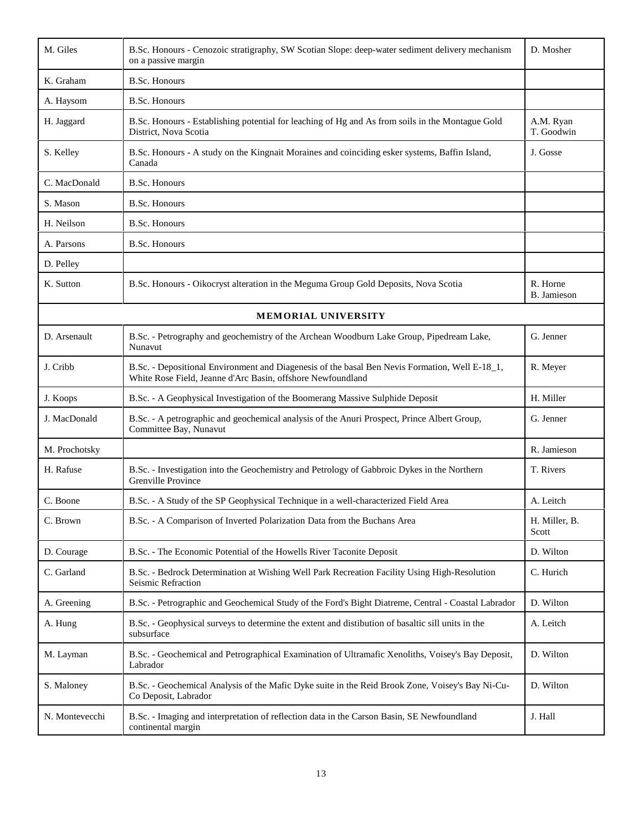| M. Giles       | B.Sc. Honours - Cenozoic stratigraphy, SW Scotian Slope: deep-water sediment delivery mechanism<br>on a passive margin                                        | D. Mosher               |
|----------------|---------------------------------------------------------------------------------------------------------------------------------------------------------------|-------------------------|
| K. Graham      | <b>B.Sc. Honours</b>                                                                                                                                          |                         |
| A. Haysom      | <b>B.Sc. Honours</b>                                                                                                                                          |                         |
| H. Jaggard     | B.Sc. Honours - Establishing potential for leaching of Hg and As from soils in the Montague Gold<br>District, Nova Scotia                                     | A.M. Ryan<br>T. Goodwin |
| S. Kelley      | B.Sc. Honours - A study on the Kingnait Moraines and coinciding esker systems, Baffin Island,<br>Canada                                                       | J. Gosse                |
| C. MacDonald   | <b>B.Sc. Honours</b>                                                                                                                                          |                         |
| S. Mason       | B.Sc. Honours                                                                                                                                                 |                         |
| H. Neilson     | <b>B.Sc. Honours</b>                                                                                                                                          |                         |
| A. Parsons     | <b>B.Sc. Honours</b>                                                                                                                                          |                         |
| D. Pelley      |                                                                                                                                                               |                         |
| K. Sutton      | B.Sc. Honours - Oikocryst alteration in the Meguma Group Gold Deposits, Nova Scotia                                                                           | R. Horne<br>B. Jamieson |
|                | <b>MEMORIAL UNIVERSITY</b>                                                                                                                                    |                         |
| D. Arsenault   | B.Sc. - Petrography and geochemistry of the Archean Woodburn Lake Group, Pipedream Lake,<br>Nunavut                                                           | G. Jenner               |
| J. Cribb       | B.Sc. - Depositional Environment and Diagenesis of the basal Ben Nevis Formation, Well E-18_1,<br>White Rose Field, Jeanne d'Arc Basin, offshore Newfoundland | R. Meyer                |
| J. Koops       | B.Sc. - A Geophysical Investigation of the Boomerang Massive Sulphide Deposit                                                                                 | H. Miller               |
| J. MacDonald   | B.Sc. - A petrographic and geochemical analysis of the Anuri Prospect, Prince Albert Group,<br>Committee Bay, Nunavut                                         | G. Jenner               |
| M. Prochotsky  |                                                                                                                                                               | R. Jamieson             |
| H. Rafuse      | B.Sc. - Investigation into the Geochemistry and Petrology of Gabbroic Dykes in the Northern<br>Grenville Province                                             | T. Rivers               |
| C. Boone       | B.Sc. - A Study of the SP Geophysical Technique in a well-characterized Field Area                                                                            | A. Leitch               |
| C. Brown       | B.Sc. - A Comparison of Inverted Polarization Data from the Buchans Area                                                                                      | H. Miller, B.<br>Scott  |
| D. Courage     | B.Sc. - The Economic Potential of the Howells River Taconite Deposit                                                                                          | D. Wilton               |
| C. Garland     | B.Sc. - Bedrock Determination at Wishing Well Park Recreation Facility Using High-Resolution<br>Seismic Refraction                                            | C. Hurich               |
| A. Greening    | B.Sc. - Petrographic and Geochemical Study of the Ford's Bight Diatreme, Central - Coastal Labrador                                                           | D. Wilton               |
| A. Hung        | B.Sc. - Geophysical surveys to determine the extent and distibution of basaltic sill units in the<br>subsurface                                               | A. Leitch               |
| M. Layman      | B.Sc. - Geochemical and Petrographical Examination of Ultramafic Xenoliths, Voisey's Bay Deposit,<br>Labrador                                                 | D. Wilton               |
| S. Maloney     | B.Sc. - Geochemical Analysis of the Mafic Dyke suite in the Reid Brook Zone, Voisey's Bay Ni-Cu-<br>Co Deposit, Labrador                                      | D. Wilton               |
| N. Montevecchi | B.Sc. - Imaging and interpretation of reflection data in the Carson Basin, SE Newfoundland<br>continental margin                                              | J. Hall                 |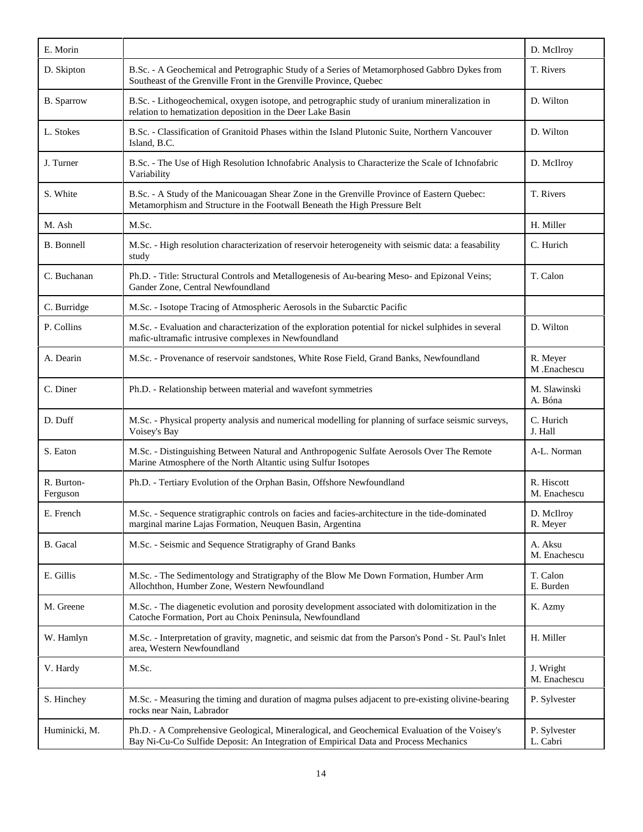| E. Morin               |                                                                                                                                                                                       | D. McIlroy                 |
|------------------------|---------------------------------------------------------------------------------------------------------------------------------------------------------------------------------------|----------------------------|
| D. Skipton             | B.Sc. - A Geochemical and Petrographic Study of a Series of Metamorphosed Gabbro Dykes from<br>Southeast of the Grenville Front in the Grenville Province, Quebec                     | T. Rivers                  |
| B. Sparrow             | B.Sc. - Lithogeochemical, oxygen isotope, and petrographic study of uranium mineralization in<br>relation to hematization deposition in the Deer Lake Basin                           | D. Wilton                  |
| L. Stokes              | B.Sc. - Classification of Granitoid Phases within the Island Plutonic Suite, Northern Vancouver<br>Island, B.C.                                                                       | D. Wilton                  |
| J. Turner              | B.Sc. - The Use of High Resolution Ichnofabric Analysis to Characterize the Scale of Ichnofabric<br>Variability                                                                       | D. McIlroy                 |
| S. White               | B.Sc. - A Study of the Manicouagan Shear Zone in the Grenville Province of Eastern Quebec:<br>Metamorphism and Structure in the Footwall Beneath the High Pressure Belt               | T. Rivers                  |
| M. Ash                 | M.Sc.                                                                                                                                                                                 | H. Miller                  |
| <b>B.</b> Bonnell      | M.Sc. - High resolution characterization of reservoir heterogeneity with seismic data: a feasability<br>study                                                                         | C. Hurich                  |
| C. Buchanan            | Ph.D. - Title: Structural Controls and Metallogenesis of Au-bearing Meso- and Epizonal Veins;<br>Gander Zone, Central Newfoundland                                                    | T. Calon                   |
| C. Burridge            | M.Sc. - Isotope Tracing of Atmospheric Aerosols in the Subarctic Pacific                                                                                                              |                            |
| P. Collins             | M.Sc. - Evaluation and characterization of the exploration potential for nickel sulphides in several<br>mafic-ultramafic intrusive complexes in Newfoundland                          | D. Wilton                  |
| A. Dearin              | M.Sc. - Provenance of reservoir sandstones, White Rose Field, Grand Banks, Newfoundland                                                                                               | R. Meyer<br>M .Enachescu   |
| C. Diner               | Ph.D. - Relationship between material and wavefont symmetries                                                                                                                         | M. Slawinski<br>A. Bóna    |
| D. Duff                | M.Sc. - Physical property analysis and numerical modelling for planning of surface seismic surveys,<br>Voisey's Bay                                                                   | C. Hurich<br>J. Hall       |
| S. Eaton               | M.Sc. - Distinguishing Between Natural and Anthropogenic Sulfate Aerosols Over The Remote<br>Marine Atmosphere of the North Altantic using Sulfur Isotopes                            | A-L. Norman                |
| R. Burton-<br>Ferguson | Ph.D. - Tertiary Evolution of the Orphan Basin, Offshore Newfoundland                                                                                                                 | R. Hiscott<br>M. Enachescu |
| E. French              | M.Sc. - Sequence stratigraphic controls on facies and facies-architecture in the tide-dominated<br>marginal marine Lajas Formation, Neuquen Basin, Argentina                          | D. McIlroy<br>R. Meyer     |
| B. Gacal               | M.Sc. - Seismic and Sequence Stratigraphy of Grand Banks                                                                                                                              | A. Aksu<br>M. Enachescu    |
| E. Gillis              | M.Sc. - The Sedimentology and Stratigraphy of the Blow Me Down Formation, Humber Arm<br>Allochthon, Humber Zone, Western Newfoundland                                                 | T. Calon<br>E. Burden      |
| M. Greene              | M.Sc. - The diagenetic evolution and porosity development associated with dolomitization in the<br>Catoche Formation, Port au Choix Peninsula, Newfoundland                           | K. Azmy                    |
| W. Hamlyn              | M.Sc. - Interpretation of gravity, magnetic, and seismic dat from the Parson's Pond - St. Paul's Inlet<br>area, Western Newfoundland                                                  | H. Miller                  |
| V. Hardy               | M.Sc.                                                                                                                                                                                 | J. Wright<br>M. Enachescu  |
| S. Hinchey             | M.Sc. - Measuring the timing and duration of magma pulses adjacent to pre-existing olivine-bearing<br>rocks near Nain, Labrador                                                       | P. Sylvester               |
| Huminicki, M.          | Ph.D. - A Comprehensive Geological, Mineralogical, and Geochemical Evaluation of the Voisey's<br>Bay Ni-Cu-Co Sulfide Deposit: An Integration of Empirical Data and Process Mechanics | P. Sylvester<br>L. Cabri   |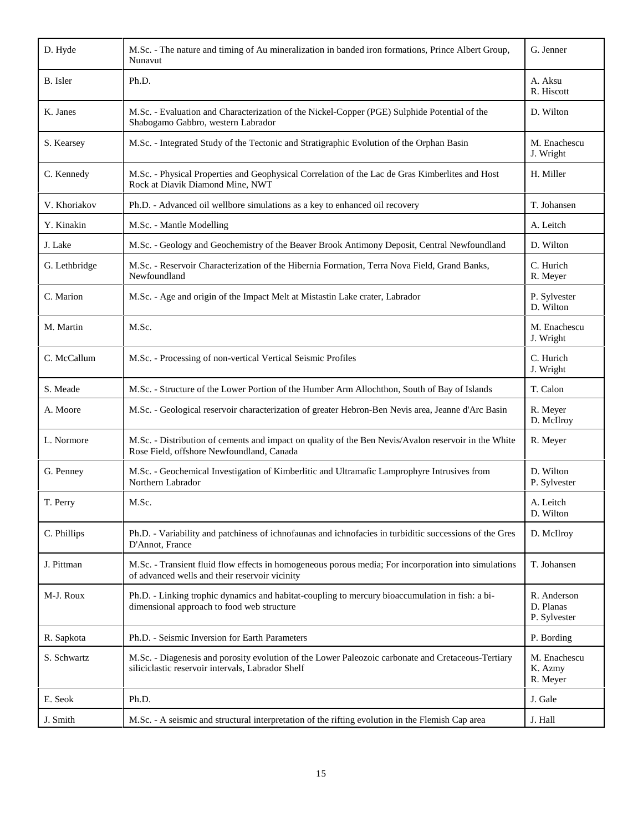| D. Hyde       | M.Sc. - The nature and timing of Au mineralization in banded iron formations, Prince Albert Group,<br>Nunavut                                           | G. Jenner                                |
|---------------|---------------------------------------------------------------------------------------------------------------------------------------------------------|------------------------------------------|
| B. Isler      | Ph.D.                                                                                                                                                   | A. Aksu<br>R. Hiscott                    |
| K. Janes      | M.Sc. - Evaluation and Characterization of the Nickel-Copper (PGE) Sulphide Potential of the<br>Shabogamo Gabbro, western Labrador                      | D. Wilton                                |
| S. Kearsey    | M.Sc. - Integrated Study of the Tectonic and Stratigraphic Evolution of the Orphan Basin                                                                | M. Enachescu<br>J. Wright                |
| C. Kennedy    | M.Sc. - Physical Properties and Geophysical Correlation of the Lac de Gras Kimberlites and Host<br>Rock at Diavik Diamond Mine, NWT                     | H. Miller                                |
| V. Khoriakov  | Ph.D. - Advanced oil wellbore simulations as a key to enhanced oil recovery                                                                             | T. Johansen                              |
| Y. Kinakin    | M.Sc. - Mantle Modelling                                                                                                                                | A. Leitch                                |
| J. Lake       | M.Sc. - Geology and Geochemistry of the Beaver Brook Antimony Deposit, Central Newfoundland                                                             | D. Wilton                                |
| G. Lethbridge | M.Sc. - Reservoir Characterization of the Hibernia Formation, Terra Nova Field, Grand Banks,<br>Newfoundland                                            | C. Hurich<br>R. Meyer                    |
| C. Marion     | M.Sc. - Age and origin of the Impact Melt at Mistastin Lake crater, Labrador                                                                            | P. Sylvester<br>D. Wilton                |
| M. Martin     | M.Sc.                                                                                                                                                   | M. Enachescu<br>J. Wright                |
| C. McCallum   | M.Sc. - Processing of non-vertical Vertical Seismic Profiles                                                                                            | C. Hurich<br>J. Wright                   |
| S. Meade      | M.Sc. - Structure of the Lower Portion of the Humber Arm Allochthon, South of Bay of Islands                                                            | T. Calon                                 |
| A. Moore      | M.Sc. - Geological reservoir characterization of greater Hebron-Ben Nevis area, Jeanne d'Arc Basin                                                      | R. Meyer<br>D. McIlroy                   |
| L. Normore    | M.Sc. - Distribution of cements and impact on quality of the Ben Nevis/Avalon reservoir in the White<br>Rose Field, offshore Newfoundland, Canada       | R. Meyer                                 |
| G. Penney     | M.Sc. - Geochemical Investigation of Kimberlitic and Ultramafic Lamprophyre Intrusives from<br>Northern Labrador                                        | D. Wilton<br>P. Sylvester                |
| T. Perry      | M.Sc.                                                                                                                                                   | A. Leitch<br>D. Wilton                   |
| C. Phillips   | Ph.D. - Variability and patchiness of ichnofaunas and ichnofacies in turbiditic successions of the Gres<br>D'Annot, France                              | D. McIlroy                               |
| J. Pittman    | M.Sc. - Transient fluid flow effects in homogeneous porous media; For incorporation into simulations<br>of advanced wells and their reservoir vicinity  | T. Johansen                              |
| M-J. Roux     | Ph.D. - Linking trophic dynamics and habitat-coupling to mercury bioaccumulation in fish: a bi-<br>dimensional approach to food web structure           | R. Anderson<br>D. Planas<br>P. Sylvester |
| R. Sapkota    | Ph.D. - Seismic Inversion for Earth Parameters                                                                                                          | P. Bording                               |
| S. Schwartz   | M.Sc. - Diagenesis and porosity evolution of the Lower Paleozoic carbonate and Cretaceous-Tertiary<br>siliciclastic reservoir intervals, Labrador Shelf | M. Enachescu<br>K. Azmy<br>R. Meyer      |
| E. Seok       | Ph.D.                                                                                                                                                   | J. Gale                                  |
| J. Smith      | M.Sc. - A seismic and structural interpretation of the rifting evolution in the Flemish Cap area                                                        | J. Hall                                  |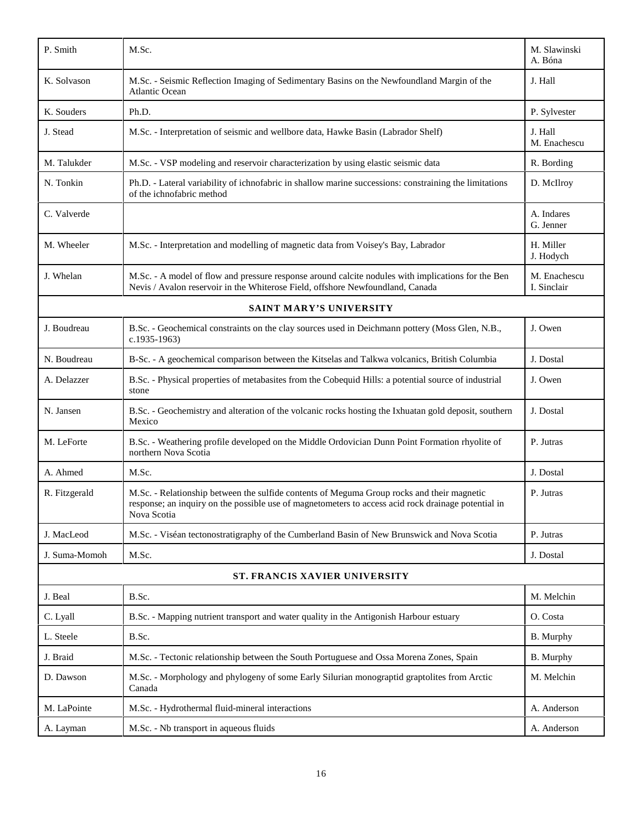| P. Smith      | M.Sc.                                                                                                                                                                                                            | M. Slawinski<br>A. Bóna     |
|---------------|------------------------------------------------------------------------------------------------------------------------------------------------------------------------------------------------------------------|-----------------------------|
| K. Solvason   | M.Sc. - Seismic Reflection Imaging of Sedimentary Basins on the Newfoundland Margin of the<br><b>Atlantic Ocean</b>                                                                                              | J. Hall                     |
| K. Souders    | Ph.D.                                                                                                                                                                                                            | P. Sylvester                |
| J. Stead      | M.Sc. - Interpretation of seismic and wellbore data, Hawke Basin (Labrador Shelf)                                                                                                                                | J. Hall<br>M. Enachescu     |
| M. Talukder   | M.Sc. - VSP modeling and reservoir characterization by using elastic seismic data                                                                                                                                | R. Bording                  |
| N. Tonkin     | Ph.D. - Lateral variability of ichnofabric in shallow marine successions: constraining the limitations<br>of the ichnofabric method                                                                              | D. McIlroy                  |
| C. Valverde   |                                                                                                                                                                                                                  | A. Indares<br>G. Jenner     |
| M. Wheeler    | M.Sc. - Interpretation and modelling of magnetic data from Voisey's Bay, Labrador                                                                                                                                | H. Miller<br>J. Hodych      |
| J. Whelan     | M.Sc. - A model of flow and pressure response around calcite nodules with implications for the Ben<br>Nevis / Avalon reservoir in the Whiterose Field, offshore Newfoundland, Canada                             | M. Enachescu<br>I. Sinclair |
|               | <b>SAINT MARY'S UNIVERSITY</b>                                                                                                                                                                                   |                             |
| J. Boudreau   | B.Sc. - Geochemical constraints on the clay sources used in Deichmann pottery (Moss Glen, N.B.,<br>$c.1935-1963$                                                                                                 | J. Owen                     |
| N. Boudreau   | B-Sc. - A geochemical comparison between the Kitselas and Talkwa volcanics, British Columbia                                                                                                                     | J. Dostal                   |
| A. Delazzer   | B.Sc. - Physical properties of metabasites from the Cobequid Hills: a potential source of industrial<br>stone                                                                                                    | J. Owen                     |
| N. Jansen     | B.Sc. - Geochemistry and alteration of the volcanic rocks hosting the Ixhuatan gold deposit, southern<br>Mexico                                                                                                  | J. Dostal                   |
| M. LeForte    | B.Sc. - Weathering profile developed on the Middle Ordovician Dunn Point Formation rhyolite of<br>northern Nova Scotia                                                                                           | P. Jutras                   |
| A. Ahmed      | M.Sc.                                                                                                                                                                                                            | J. Dostal                   |
| R. Fitzgerald | M.Sc. - Relationship between the sulfide contents of Meguma Group rocks and their magnetic<br>response; an inquiry on the possible use of magnetometers to access acid rock drainage potential in<br>Nova Scotia | P. Jutras                   |
| J. MacLeod    | M.Sc. - Viséan tectonostratigraphy of the Cumberland Basin of New Brunswick and Nova Scotia                                                                                                                      | P. Jutras                   |
| J. Suma-Momoh | M.Sc.                                                                                                                                                                                                            | J. Dostal                   |
|               | ST. FRANCIS XAVIER UNIVERSITY                                                                                                                                                                                    |                             |
| J. Beal       | B.Sc.                                                                                                                                                                                                            | M. Melchin                  |
| C. Lyall      | B.Sc. - Mapping nutrient transport and water quality in the Antigonish Harbour estuary                                                                                                                           | O. Costa                    |
| L. Steele     | B.Sc.                                                                                                                                                                                                            | B. Murphy                   |
| J. Braid      | M.Sc. - Tectonic relationship between the South Portuguese and Ossa Morena Zones, Spain                                                                                                                          | B. Murphy                   |
| D. Dawson     | M.Sc. - Morphology and phylogeny of some Early Silurian monograptid graptolites from Arctic<br>Canada                                                                                                            | M. Melchin                  |
| M. LaPointe   | M.Sc. - Hydrothermal fluid-mineral interactions                                                                                                                                                                  | A. Anderson                 |
| A. Layman     | M.Sc. - Nb transport in aqueous fluids                                                                                                                                                                           | A. Anderson                 |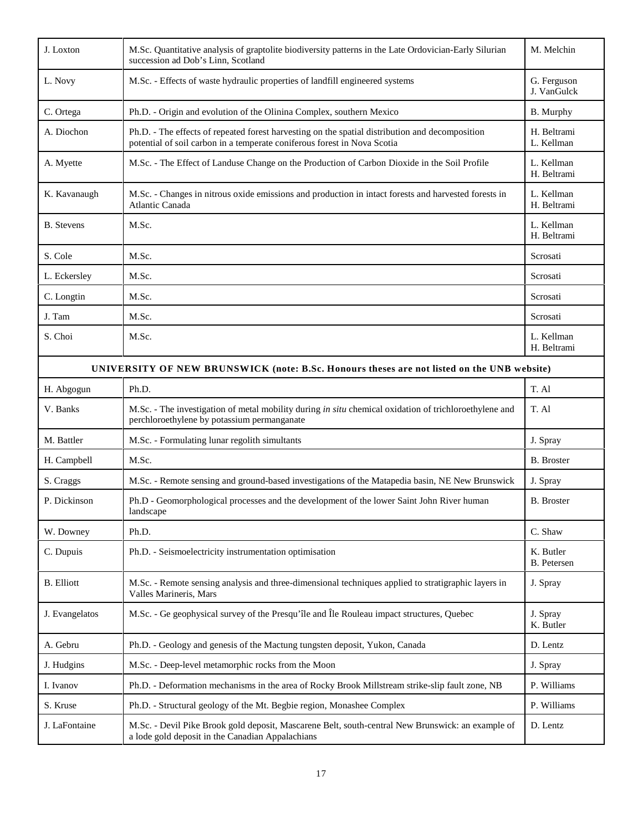| J. Loxton         | M.Sc. Quantitative analysis of graptolite biodiversity patterns in the Late Ordovician-Early Silurian<br>succession ad Dob's Linn, Scotland                                 | M. Melchin                      |
|-------------------|-----------------------------------------------------------------------------------------------------------------------------------------------------------------------------|---------------------------------|
| L. Novy           | M.Sc. - Effects of waste hydraulic properties of landfill engineered systems                                                                                                | G. Ferguson<br>J. VanGulck      |
| C. Ortega         | Ph.D. - Origin and evolution of the Olinina Complex, southern Mexico                                                                                                        | B. Murphy                       |
| A. Diochon        | Ph.D. - The effects of repeated forest harvesting on the spatial distribution and decomposition<br>potential of soil carbon in a temperate coniferous forest in Nova Scotia | H. Beltrami<br>L. Kellman       |
| A. Myette         | M.Sc. - The Effect of Landuse Change on the Production of Carbon Dioxide in the Soil Profile                                                                                | L. Kellman<br>H. Beltrami       |
| K. Kavanaugh      | M.Sc. - Changes in nitrous oxide emissions and production in intact forests and harvested forests in<br>Atlantic Canada                                                     | L. Kellman<br>H. Beltrami       |
| <b>B.</b> Stevens | M.Sc.                                                                                                                                                                       | L. Kellman<br>H. Beltrami       |
| S. Cole           | M.Sc.                                                                                                                                                                       | Scrosati                        |
| L. Eckersley      | M.Sc.                                                                                                                                                                       | Scrosati                        |
| C. Longtin        | M.Sc.                                                                                                                                                                       | Scrosati                        |
| J. Tam            | M.Sc.                                                                                                                                                                       | Scrosati                        |
| S. Choi           | M.Sc.                                                                                                                                                                       | L. Kellman<br>H. Beltrami       |
|                   | UNIVERSITY OF NEW BRUNSWICK (note: B.Sc. Honours theses are not listed on the UNB website)                                                                                  |                                 |
| H. Abgogun        | Ph.D.                                                                                                                                                                       | T. Al                           |
| V. Banks          | M.Sc. - The investigation of metal mobility during in situ chemical oxidation of trichloroethylene and<br>perchloroethylene by potassium permanganate                       | T. Al                           |
| M. Battler        | M.Sc. - Formulating lunar regolith simultants                                                                                                                               | J. Spray                        |
| H. Campbell       | M.Sc.                                                                                                                                                                       | <b>B.</b> Broster               |
| S. Craggs         | M.Sc. - Remote sensing and ground-based investigations of the Matapedia basin, NE New Brunswick                                                                             | J. Spray                        |
| P. Dickinson      | Ph.D - Geomorphological processes and the development of the lower Saint John River human<br>landscape                                                                      | <b>B.</b> Broster               |
| W. Downey         | Ph.D.                                                                                                                                                                       | C. Shaw                         |
| C. Dupuis         | Ph.D. - Seismoelectricity instrumentation optimisation                                                                                                                      | K. Butler<br><b>B.</b> Petersen |
| <b>B.</b> Elliott | M.Sc. - Remote sensing analysis and three-dimensional techniques applied to stratigraphic layers in<br>Valles Marineris, Mars                                               | J. Spray                        |
| J. Evangelatos    | M.Sc. - Ge geophysical survey of the Presqu'île and Île Rouleau impact structures, Quebec                                                                                   | J. Spray<br>K. Butler           |
| A. Gebru          | Ph.D. - Geology and genesis of the Mactung tungsten deposit, Yukon, Canada                                                                                                  | D. Lentz                        |
| J. Hudgins        | M.Sc. - Deep-level metamorphic rocks from the Moon                                                                                                                          | J. Spray                        |
| I. Ivanov         | Ph.D. - Deformation mechanisms in the area of Rocky Brook Millstream strike-slip fault zone, NB                                                                             | P. Williams                     |
| S. Kruse          | Ph.D. - Structural geology of the Mt. Begbie region, Monashee Complex                                                                                                       | P. Williams                     |
| J. LaFontaine     | M.Sc. - Devil Pike Brook gold deposit, Mascarene Belt, south-central New Brunswick: an example of<br>a lode gold deposit in the Canadian Appalachians                       | D. Lentz                        |